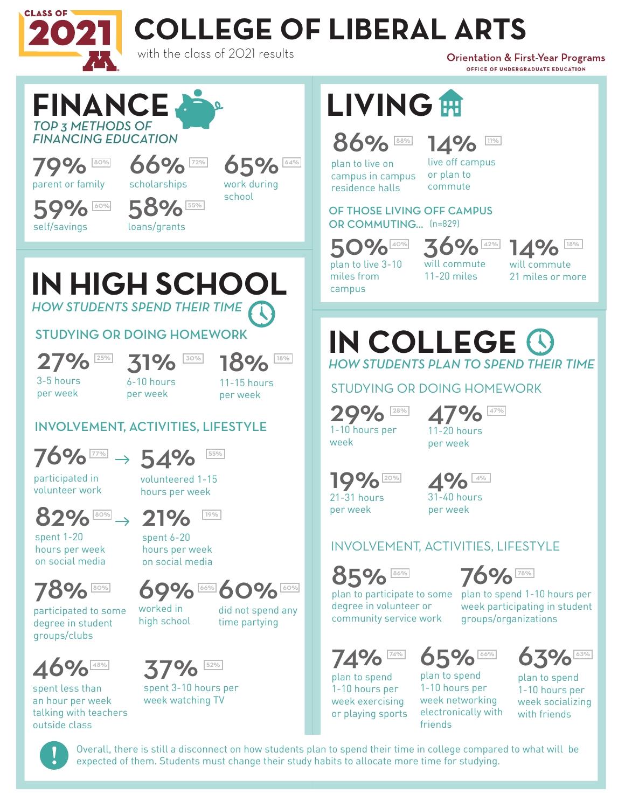

# **COLLEGE OF LIBERAL ARTS**

with the class of 2021 results

**Orientation & First-Year Programs** OFFICE OF UNDERGRADUATE EDUCATION